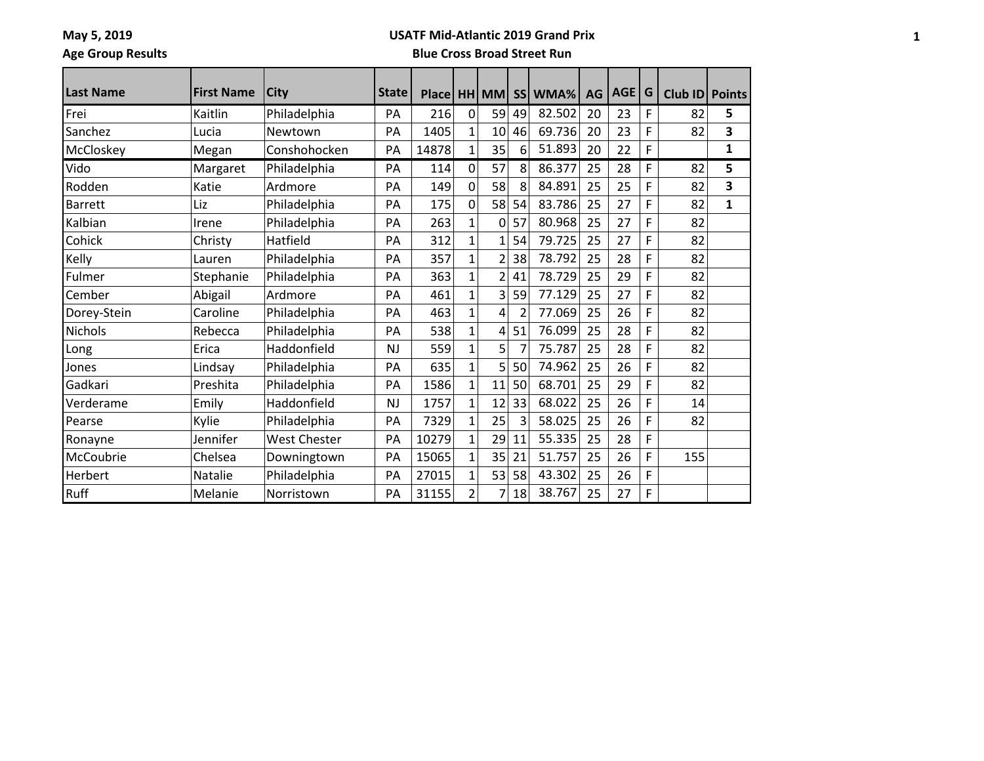**May 5, 2019 Age Group Results**

#### **USATF Mid-Atlantic 2019 Grand Prix**

| Last Name      | <b>First Name</b> | <b>City</b>         | <b>State</b> | Place   HH   MM |                |                | <b>SS</b> | WMA%   | AG | AGE | G | Club ID Points |              |
|----------------|-------------------|---------------------|--------------|-----------------|----------------|----------------|-----------|--------|----|-----|---|----------------|--------------|
| Frei           | Kaitlin           | Philadelphia        | PA           | 216             | $\mathbf 0$    | 59             | 49        | 82.502 | 20 | 23  | F | 82             | 5            |
| Sanchez        | Lucia             | Newtown             | PA           | 1405            | $\mathbf{1}$   | 10             | 46        | 69.736 | 20 | 23  | F | 82             | 3            |
| McCloskey      | Megan             | Conshohocken        | PA           | 14878           | $\mathbf{1}$   | 35             | 6         | 51.893 | 20 | 22  | F |                | $\mathbf{1}$ |
| Vido           | Margaret          | Philadelphia        | PA           | 114             | 0              | 57             | 8         | 86.377 | 25 | 28  | F | 82             | 5            |
| Rodden         | Katie             | Ardmore             | PA           | 149             | 0              | 58             | 8         | 84.891 | 25 | 25  | F | 82             | 3            |
| <b>Barrett</b> | Liz               | Philadelphia        | PA           | 175             | 0              | 58             | 54        | 83.786 | 25 | 27  | F | 82             | $\mathbf{1}$ |
| Kalbian        | Irene             | Philadelphia        | PA           | 263             | $\mathbf{1}$   | 0              | 57        | 80.968 | 25 | 27  | F | 82             |              |
| Cohick         | Christy           | Hatfield            | PA           | 312             | $\mathbf{1}$   | 1              | 54        | 79.725 | 25 | 27  | F | 82             |              |
| Kelly          | Lauren            | Philadelphia        | PA           | 357             | $\mathbf{1}$   | $\overline{2}$ | 38        | 78.792 | 25 | 28  | F | 82             |              |
| Fulmer         | Stephanie         | Philadelphia        | PA           | 363             | $\mathbf{1}$   | $\overline{2}$ | 41        | 78.729 | 25 | 29  | F | 82             |              |
| Cember         | Abigail           | Ardmore             | PA           | 461             | $\mathbf{1}$   | 3              | 59        | 77.129 | 25 | 27  | F | 82             |              |
| Dorey-Stein    | Caroline          | Philadelphia        | PA           | 463             | $\mathbf{1}$   | 4              | 2         | 77.069 | 25 | 26  | F | 82             |              |
| Nichols        | Rebecca           | Philadelphia        | PA           | 538             | $\mathbf{1}$   | 4              | 51        | 76.099 | 25 | 28  | F | 82             |              |
| Long           | Erica             | Haddonfield         | <b>NJ</b>    | 559             | $\mathbf{1}$   | 5              |           | 75.787 | 25 | 28  | F | 82             |              |
| Jones          | Lindsay           | Philadelphia        | PA           | 635             | $\mathbf{1}$   | 5              | 50        | 74.962 | 25 | 26  | F | 82             |              |
| Gadkari        | Preshita          | Philadelphia        | PA           | 1586            | $\mathbf{1}$   | 11             | 50        | 68.701 | 25 | 29  | F | 82             |              |
| Verderame      | Emily             | Haddonfield         | <b>NJ</b>    | 1757            | $\mathbf{1}$   | 12             | 33        | 68.022 | 25 | 26  | F | 14             |              |
| Pearse         | Kylie             | Philadelphia        | PA           | 7329            | $\mathbf{1}$   | 25             | 3         | 58.025 | 25 | 26  | F | 82             |              |
| Ronayne        | Jennifer          | <b>West Chester</b> | PA           | 10279           | $\mathbf{1}$   | 29             | 11        | 55.335 | 25 | 28  | F |                |              |
| McCoubrie      | Chelsea           | Downingtown         | PA           | 15065           | $\mathbf{1}$   | 35             | 21        | 51.757 | 25 | 26  | F | 155            |              |
| Herbert        | Natalie           | Philadelphia        | PA           | 27015           | $\mathbf{1}$   | 53             | 58        | 43.302 | 25 | 26  | F |                |              |
| <b>Ruff</b>    | Melanie           | Norristown          | PA           | 31155           | $\overline{2}$ | 7              | 18        | 38.767 | 25 | 27  | F |                |              |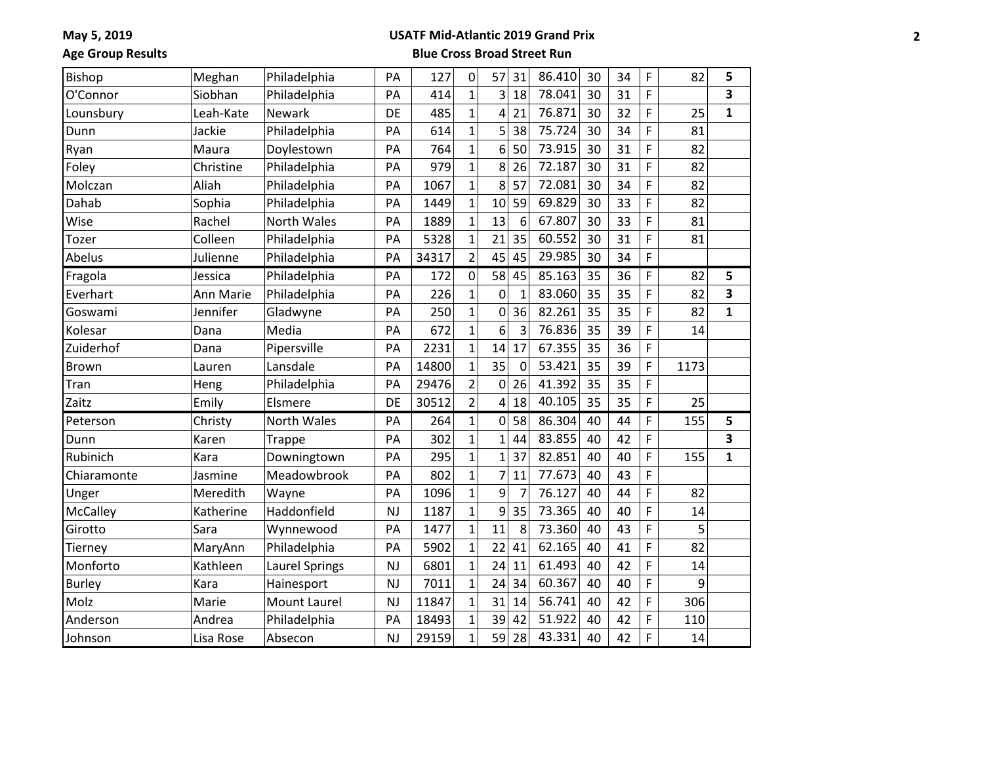## **USATF Mid-Atlantic 2019 Grand Prix**

**Age Group Results**

| Bishop        | Meghan    | Philadelphia       | PA        | 127   | 0              | 57             | 31             | 86.410 | 30 | 34 | F | 82   | 5            |
|---------------|-----------|--------------------|-----------|-------|----------------|----------------|----------------|--------|----|----|---|------|--------------|
| O'Connor      | Siobhan   | Philadelphia       | PA        | 414   | $\overline{1}$ | 3              | 18             | 78.041 | 30 | 31 | F |      | 3            |
| Lounsbury     | Leah-Kate | Newark             | DE        | 485   | $\mathbf{1}$   | 4              | 21             | 76.871 | 30 | 32 | F | 25   | $\mathbf{1}$ |
| Dunn          | Jackie    | Philadelphia       | PA        | 614   | $\mathbf{1}$   | 5              | 38             | 75.724 | 30 | 34 | F | 81   |              |
| Ryan          | Maura     | Doylestown         | PA        | 764   | $\mathbf{1}$   | 6              | 50             | 73.915 | 30 | 31 | F | 82   |              |
| Foley         | Christine | Philadelphia       | PA        | 979   | $\mathbf{1}$   | 8              | 26             | 72.187 | 30 | 31 | F | 82   |              |
| Molczan       | Aliah     | Philadelphia       | PA        | 1067  | $\mathbf{1}$   | 8              | 57             | 72.081 | 30 | 34 | F | 82   |              |
| Dahab         | Sophia    | Philadelphia       | PA        | 1449  | $\overline{1}$ | 10             | 59             | 69.829 | 30 | 33 | F | 82   |              |
| Wise          | Rachel    | <b>North Wales</b> | PA        | 1889  | $\mathbf{1}$   | 13             | 6              | 67.807 | 30 | 33 | F | 81   |              |
| Tozer         | Colleen   | Philadelphia       | PA        | 5328  | $\mathbf{1}$   | 21             | 35             | 60.552 | 30 | 31 | F | 81   |              |
| Abelus        | Julienne  | Philadelphia       | PA        | 34317 | $\overline{2}$ | 45             | 45             | 29.985 | 30 | 34 | F |      |              |
| Fragola       | Jessica   | Philadelphia       | PA        | 172   | $\pmb{0}$      | 58             | 45             | 85.163 | 35 | 36 | F | 82   | 5            |
| Everhart      | Ann Marie | Philadelphia       | PA        | 226   | $\overline{1}$ | 0              | $\mathbf{1}$   | 83.060 | 35 | 35 | F | 82   | 3            |
| Goswami       | Jennifer  | Gladwyne           | PA        | 250   | $\overline{1}$ | 0              | 36             | 82.261 | 35 | 35 | F | 82   | $\mathbf{1}$ |
| Kolesar       | Dana      | Media              | PA        | 672   | $\mathbf{1}$   | 6              | 3              | 76.836 | 35 | 39 | F | 14   |              |
| Zuiderhof     | Dana      | Pipersville        | PA        | 2231  | $\overline{1}$ | 14             | 17             | 67.355 | 35 | 36 | F |      |              |
| Brown         | Lauren    | Lansdale           | PA        | 14800 | $\mathbf{1}$   | 35             | $\mathbf 0$    | 53.421 | 35 | 39 | F | 1173 |              |
| Tran          | Heng      | Philadelphia       | PA        | 29476 | $\overline{2}$ | $\mathbf 0$    | 26             | 41.392 | 35 | 35 | F |      |              |
| Zaitz         | Emily     | Elsmere            | DE        | 30512 | $\overline{2}$ | 4              | 18             | 40.105 | 35 | 35 | F | 25   |              |
| Peterson      | Christy   | North Wales        | PA        | 264   | $\mathbf{1}$   | 0              | 58             | 86.304 | 40 | 44 | F | 155  | 5            |
| Dunn          | Karen     | <b>Trappe</b>      | PA        | 302   | $\mathbf{1}$   | $\mathbf{1}$   | 44             | 83.855 | 40 | 42 | F |      | 3            |
| Rubinich      | Kara      | Downingtown        | PA        | 295   | $\overline{1}$ | $\overline{1}$ | 37             | 82.851 | 40 | 40 | F | 155  | $\mathbf{1}$ |
| Chiaramonte   | Jasmine   | Meadowbrook        | PA        | 802   | $\overline{1}$ | $\overline{7}$ | 11             | 77.673 | 40 | 43 | F |      |              |
| Unger         | Meredith  | Wayne              | PA        | 1096  | $\mathbf{1}$   | 9              | $\overline{7}$ | 76.127 | 40 | 44 | F | 82   |              |
| McCalley      | Katherine | Haddonfield        | <b>NJ</b> | 1187  | $\overline{1}$ | 9              | 35             | 73.365 | 40 | 40 | F | 14   |              |
| Girotto       | Sara      | Wynnewood          | PA        | 1477  | $\overline{1}$ | 11             | 8              | 73.360 | 40 | 43 | F | 5    |              |
| Tierney       | MaryAnn   | Philadelphia       | PA        | 5902  | $\mathbf{1}$   | 22             | 41             | 62.165 | 40 | 41 | F | 82   |              |
| Monforto      | Kathleen  | Laurel Springs     | <b>NJ</b> | 6801  | $\mathbf{1}$   | 24             | 11             | 61.493 | 40 | 42 | F | 14   |              |
| <b>Burley</b> | Kara      | Hainesport         | <b>NJ</b> | 7011  | $\mathbf{1}$   | 24             | 34             | 60.367 | 40 | 40 | F | 9    |              |
| Molz          | Marie     | Mount Laurel       | <b>NJ</b> | 11847 | $\mathbf{1}$   | 31             | 14             | 56.741 | 40 | 42 | F | 306  |              |
| Anderson      | Andrea    | Philadelphia       | PA        | 18493 | $\mathbf{1}$   | 39             | 42             | 51.922 | 40 | 42 | F | 110  |              |
| Johnson       | Lisa Rose | Absecon            | <b>NJ</b> | 29159 | $\mathbf{1}$   | 59             | 28             | 43.331 | 40 | 42 | F | 14   |              |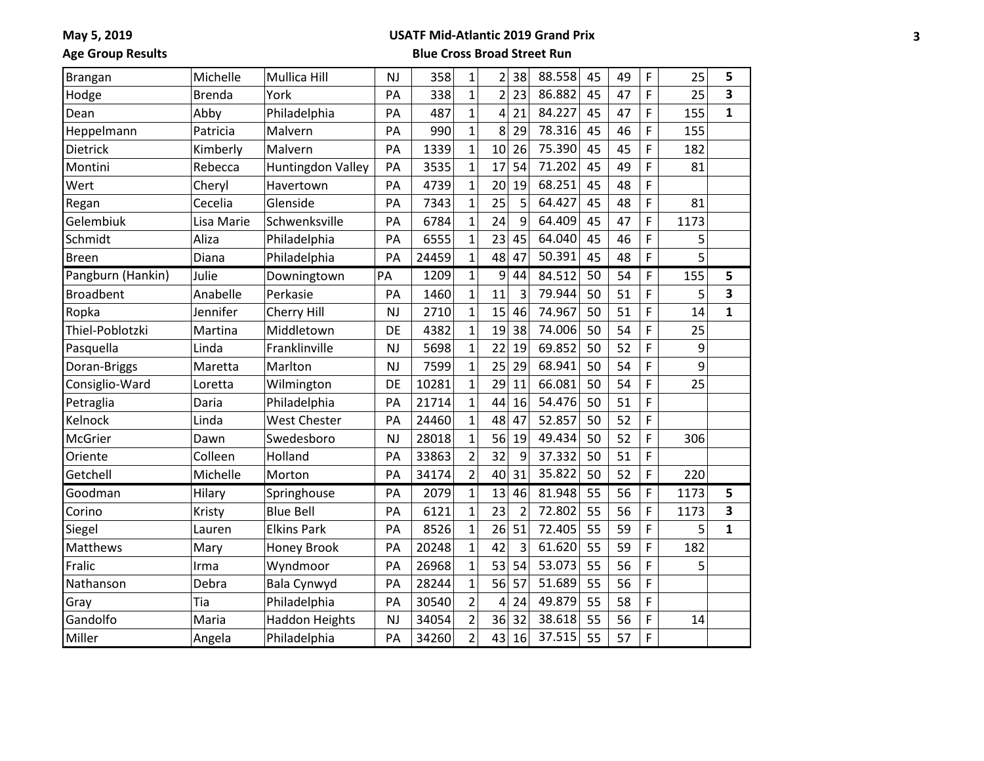## **USATF Mid-Atlantic 2019 Grand Prix**

**Age Group Results**

| Brangan           | Michelle      | Mullica Hill             | <b>NJ</b> | 358   | $\mathbf{1}$   | $\overline{2}$ | 38             | 88.558 | 45 | 49 | F | 25   | 5            |
|-------------------|---------------|--------------------------|-----------|-------|----------------|----------------|----------------|--------|----|----|---|------|--------------|
| Hodge             | <b>Brenda</b> | York                     | PA        | 338   | $\overline{1}$ | $\overline{2}$ | 23             | 86.882 | 45 | 47 | F | 25   | 3            |
| Dean              | Abby          | Philadelphia             | PA        | 487   | $\mathbf{1}$   | 4              | 21             | 84.227 | 45 | 47 | F | 155  | 1            |
| Heppelmann        | Patricia      | Malvern                  | PA        | 990   | $\overline{1}$ | 8              | 29             | 78.316 | 45 | 46 | F | 155  |              |
| Dietrick          | Kimberly      | Malvern                  | PA        | 1339  | $\overline{1}$ | 10             | 26             | 75.390 | 45 | 45 | F | 182  |              |
| Montini           | Rebecca       | <b>Huntingdon Valley</b> | PA        | 3535  | $\overline{1}$ | 17             | 54             | 71.202 | 45 | 49 | F | 81   |              |
| Wert              | Cheryl        | Havertown                | PA        | 4739  | $\overline{1}$ | 20             | 19             | 68.251 | 45 | 48 | F |      |              |
| Regan             | Cecelia       | Glenside                 | PA        | 7343  | $\overline{1}$ | 25             | 5              | 64.427 | 45 | 48 | F | 81   |              |
| Gelembiuk         | Lisa Marie    | Schwenksville            | PA        | 6784  | $\mathbf{1}$   | 24             | 9              | 64.409 | 45 | 47 | F | 1173 |              |
| Schmidt           | Aliza         | Philadelphia             | PA        | 6555  | $\overline{1}$ | 23             | 45             | 64.040 | 45 | 46 | F | 5    |              |
| <b>Breen</b>      | Diana         | Philadelphia             | PA        | 24459 | $\overline{1}$ | 48             | 47             | 50.391 | 45 | 48 | F | 5    |              |
| Pangburn (Hankin) | Julie         | Downingtown              | PA        | 1209  | $\overline{1}$ | 9              | 44             | 84.512 | 50 | 54 | F | 155  | 5            |
| <b>Broadbent</b>  | Anabelle      | Perkasie                 | PA        | 1460  | $\mathbf{1}$   | 11             | 3              | 79.944 | 50 | 51 | F | 5    | 3            |
| Ropka             | Jennifer      | Cherry Hill              | NJ        | 2710  | $\overline{1}$ | 15             | 46             | 74.967 | 50 | 51 | F | 14   | $\mathbf{1}$ |
| Thiel-Poblotzki   | Martina       | Middletown               | DE        | 4382  | $\overline{1}$ | 19             | 38             | 74.006 | 50 | 54 | F | 25   |              |
| Pasquella         | Linda         | Franklinville            | <b>NJ</b> | 5698  | $\mathbf{1}$   | 22             | 19             | 69.852 | 50 | 52 | F | 9    |              |
| Doran-Briggs      | Maretta       | Marlton                  | NJ        | 7599  | $\overline{1}$ | 25             | 29             | 68.941 | 50 | 54 | F | 9    |              |
| Consiglio-Ward    | Loretta       | Wilmington               | DE        | 10281 | $\mathbf{1}$   | 29             | 11             | 66.081 | 50 | 54 | F | 25   |              |
| Petraglia         | Daria         | Philadelphia             | PA        | 21714 | $\overline{1}$ | 44             | 16             | 54.476 | 50 | 51 | F |      |              |
| Kelnock           | Linda         | <b>West Chester</b>      | PA        | 24460 | $\overline{1}$ | 48             | 47             | 52.857 | 50 | 52 | F |      |              |
| McGrier           | Dawn          | Swedesboro               | NJ        | 28018 | $\mathbf{1}$   | 56             | 19             | 49.434 | 50 | 52 | F | 306  |              |
| Oriente           | Colleen       | Holland                  | PA        | 33863 | $\overline{2}$ | 32             | 9              | 37.332 | 50 | 51 | F |      |              |
| Getchell          | Michelle      | Morton                   | PA        | 34174 | $\overline{2}$ | 40             | 31             | 35.822 | 50 | 52 | F | 220  |              |
| Goodman           | Hilary        | Springhouse              | PA        | 2079  | $\overline{1}$ | 13             | 46             | 81.948 | 55 | 56 | F | 1173 | 5            |
| Corino            | Kristy        | <b>Blue Bell</b>         | PA        | 6121  | $\mathbf{1}$   | 23             | $\overline{2}$ | 72.802 | 55 | 56 | F | 1173 | 3            |
| Siegel            | Lauren        | <b>Elkins Park</b>       | PA        | 8526  | $\overline{1}$ | 26             | 51             | 72.405 | 55 | 59 | F | 5    | $\mathbf{1}$ |
| Matthews          | Mary          | Honey Brook              | PA        | 20248 | $\overline{1}$ | 42             | 3              | 61.620 | 55 | 59 | F | 182  |              |
| Fralic            | Irma          | Wyndmoor                 | PA        | 26968 | $\mathbf{1}$   | 53             | 54             | 53.073 | 55 | 56 | F | 5    |              |
| Nathanson         | Debra         | Bala Cynwyd              | PA        | 28244 | $\mathbf{1}$   | 56             | 57             | 51.689 | 55 | 56 | F |      |              |
| Gray              | Tia           | Philadelphia             | PA        | 30540 | $\overline{2}$ | 4              | 24             | 49.879 | 55 | 58 | F |      |              |
| Gandolfo          | Maria         | <b>Haddon Heights</b>    | NJ        | 34054 | $\overline{2}$ | 36             | 32             | 38.618 | 55 | 56 | F | 14   |              |
| Miller            | Angela        | Philadelphia             | PA        | 34260 | $\overline{2}$ | 43             | 16             | 37.515 | 55 | 57 | F |      |              |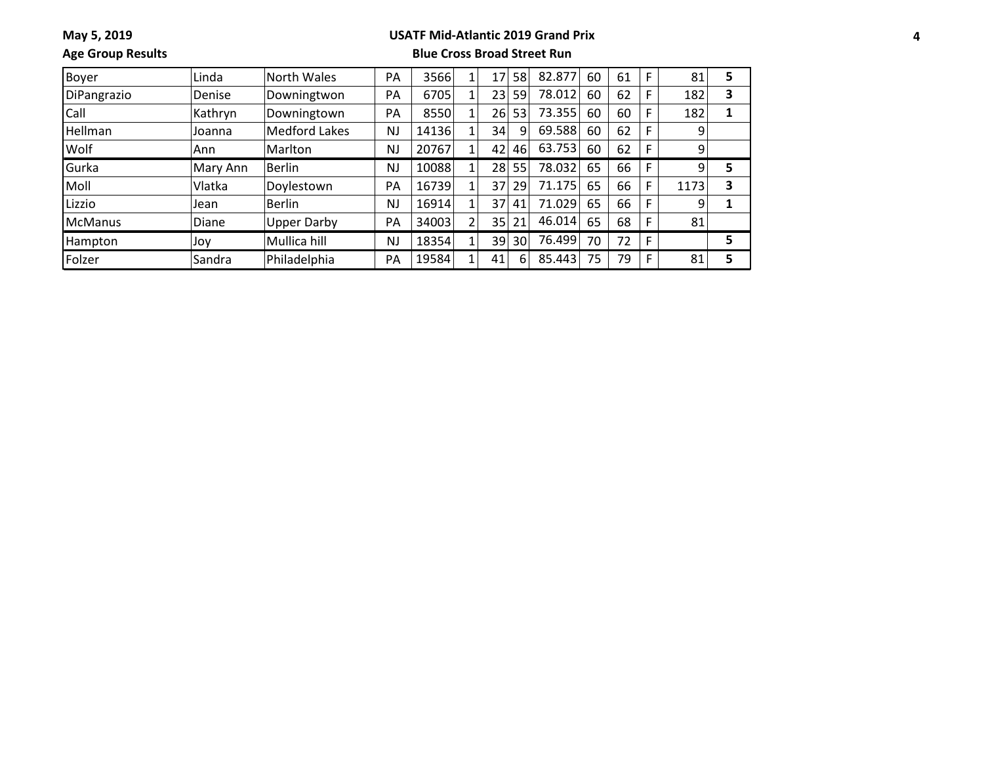### **USATF Mid-Atlantic 2019 Grand Prix**

**Age Group Results**

| <b>Boyer</b>   | Linda    | North Wales          | PA        | 3566  | 17 | 58              | 82.877 | 60 | 61 | F | 81   | 5 |
|----------------|----------|----------------------|-----------|-------|----|-----------------|--------|----|----|---|------|---|
| DiPangrazio    | Denise   | Downingtwon          | PA        | 6705  | 23 | 59              | 78.012 | 60 | 62 | F | 182  | 3 |
| Call           | Kathryn  | Downingtown          | PA        | 8550  | 26 | 53              | 73.355 | 60 | 60 | F | 182  | 1 |
| Hellman        | Joanna   | <b>Medford Lakes</b> | <b>NJ</b> | 14136 | 34 | 9               | 69.588 | 60 | 62 |   | 9    |   |
| Wolf           | Ann      | Marlton              | <b>NJ</b> | 20767 | 42 | 46              | 63.753 | 60 | 62 |   | 9    |   |
| Gurka          | Mary Ann | <b>Berlin</b>        | <b>NJ</b> | 10088 | 28 | 55              | 78.032 | 65 | 66 |   | 9    | 5 |
| Moll           | Vlatka   | Doylestown           | PA        | 16739 | 37 | 29              | 71.175 | 65 | 66 |   | 1173 | 3 |
| Lizzio         | Jean     | <b>Berlin</b>        | <b>NJ</b> | 16914 | 37 | 41              | 71.029 | 65 | 66 |   | 9    |   |
| <b>McManus</b> | Diane    | <b>Upper Darby</b>   | PA        | 34003 | 35 | 21              | 46.014 | 65 | 68 |   | 81   |   |
| Hampton        | Joy      | Mullica hill         | <b>NJ</b> | 18354 | 39 | 30 <sup>1</sup> | 76.499 | 70 | 72 | F |      | 5 |
| Folzer         | Sandra   | Philadelphia         | PA        | 19584 | 41 | 6               | 85.443 | 75 | 79 | F | 81   | 5 |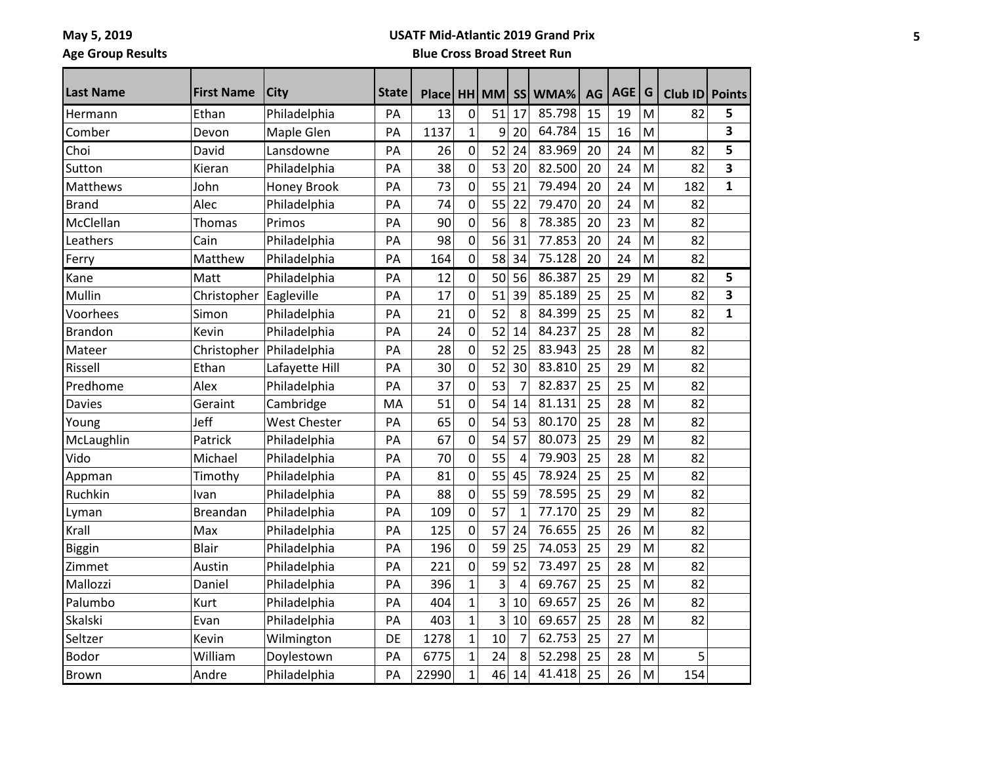**May 5, 2019 Age Group Results**

#### **USATF Mid-Atlantic 2019 Grand Prix**

| Last Name       | <b>First Name</b> | <b>City</b>         | <b>State</b> | Placel |              | HH MM | <b>SS</b>      | WMA%   | AG | AGE | G | Club ID | <b>Points</b> |
|-----------------|-------------------|---------------------|--------------|--------|--------------|-------|----------------|--------|----|-----|---|---------|---------------|
| Hermann         | Ethan             | Philadelphia        | PA           | 13     | 0            | 51    | 17             | 85.798 | 15 | 19  | M | 82      | 5             |
| Comber          | Devon             | Maple Glen          | PA           | 1137   | $\mathbf{1}$ | 9     | 20             | 64.784 | 15 | 16  | M |         | 3             |
| Choi            | David             | Lansdowne           | PA           | 26     | $\pmb{0}$    | 52    | 24             | 83.969 | 20 | 24  | M | 82      | 5             |
| Sutton          | Kieran            | Philadelphia        | PA           | 38     | $\pmb{0}$    | 53    | 20             | 82.500 | 20 | 24  | M | 82      | 3             |
| <b>Matthews</b> | John              | Honey Brook         | PA           | 73     | 0            | 55    | 21             | 79.494 | 20 | 24  | M | 182     | $\mathbf{1}$  |
| <b>Brand</b>    | Alec              | Philadelphia        | PA           | 74     | $\pmb{0}$    | 55    | 22             | 79.470 | 20 | 24  | M | 82      |               |
| McClellan       | Thomas            | Primos              | PA           | 90     | $\mathbf 0$  | 56    | 8              | 78.385 | 20 | 23  | M | 82      |               |
| Leathers        | Cain              | Philadelphia        | PA           | 98     | $\pmb{0}$    | 56    | 31             | 77.853 | 20 | 24  | M | 82      |               |
| Ferry           | Matthew           | Philadelphia        | PA           | 164    | $\pmb{0}$    | 58    | 34             | 75.128 | 20 | 24  | M | 82      |               |
| Kane            | Matt              | Philadelphia        | PA           | 12     | $\pmb{0}$    | 50    | 56             | 86.387 | 25 | 29  | M | 82      | 5             |
| Mullin          | Christopher       | Eagleville          | PA           | 17     | $\pmb{0}$    | 51    | 39             | 85.189 | 25 | 25  | M | 82      | 3             |
| Voorhees        | Simon             | Philadelphia        | PA           | 21     | $\pmb{0}$    | 52    | 8              | 84.399 | 25 | 25  | M | 82      | $\mathbf{1}$  |
| <b>Brandon</b>  | Kevin             | Philadelphia        | PA           | 24     | $\pmb{0}$    | 52    | 14             | 84.237 | 25 | 28  | M | 82      |               |
| Mateer          | Christopher       | Philadelphia        | PA           | 28     | $\pmb{0}$    | 52    | 25             | 83.943 | 25 | 28  | M | 82      |               |
| Rissell         | Ethan             | Lafayette Hill      | PA           | 30     | $\pmb{0}$    | 52    | 30             | 83.810 | 25 | 29  | M | 82      |               |
| Predhome        | Alex              | Philadelphia        | PA           | 37     | 0            | 53    | 7              | 82.837 | 25 | 25  | M | 82      |               |
| Davies          | Geraint           | Cambridge           | MA           | 51     | $\pmb{0}$    | 54    | 14             | 81.131 | 25 | 28  | M | 82      |               |
| Young           | Jeff              | <b>West Chester</b> | PA           | 65     | $\mathbf 0$  | 54    | 53             | 80.170 | 25 | 28  | M | 82      |               |
| McLaughlin      | Patrick           | Philadelphia        | PA           | 67     | $\pmb{0}$    | 54    | 57             | 80.073 | 25 | 29  | M | 82      |               |
| Vido            | Michael           | Philadelphia        | PA           | 70     | $\pmb{0}$    | 55    | 4              | 79.903 | 25 | 28  | M | 82      |               |
| Appman          | Timothy           | Philadelphia        | PA           | 81     | 0            | 55    | 45             | 78.924 | 25 | 25  | M | 82      |               |
| Ruchkin         | Ivan              | Philadelphia        | PA           | 88     | 0            | 55    | 59             | 78.595 | 25 | 29  | M | 82      |               |
| Lyman           | <b>Breandan</b>   | Philadelphia        | PA           | 109    | $\pmb{0}$    | 57    | $\mathbf{1}$   | 77.170 | 25 | 29  | M | 82      |               |
| Krall           | Max               | Philadelphia        | PA           | 125    | $\pmb{0}$    | 57    | 24             | 76.655 | 25 | 26  | M | 82      |               |
| Biggin          | Blair             | Philadelphia        | PA           | 196    | $\pmb{0}$    | 59    | 25             | 74.053 | 25 | 29  | M | 82      |               |
| Zimmet          | Austin            | Philadelphia        | PA           | 221    | $\pmb{0}$    | 59    | 52             | 73.497 | 25 | 28  | M | 82      |               |
| Mallozzi        | Daniel            | Philadelphia        | PA           | 396    | 1            | 3     | 4              | 69.767 | 25 | 25  | M | 82      |               |
| Palumbo         | Kurt              | Philadelphia        | PA           | 404    | $\mathbf{1}$ | 3     | 10             | 69.657 | 25 | 26  | M | 82      |               |
| Skalski         | Evan              | Philadelphia        | PA           | 403    | $\mathbf{1}$ | 3     | 10             | 69.657 | 25 | 28  | M | 82      |               |
| Seltzer         | Kevin             | Wilmington          | DE           | 1278   | $\mathbf{1}$ | 10    | $\overline{7}$ | 62.753 | 25 | 27  | M |         |               |
| <b>Bodor</b>    | William           | Doylestown          | PA           | 6775   | $\mathbf{1}$ | 24    | 8              | 52.298 | 25 | 28  | M | 5       |               |
| <b>Brown</b>    | Andre             | Philadelphia        | PA           | 22990  | $\mathbf{1}$ | 46    | 14             | 41.418 | 25 | 26  | M | 154     |               |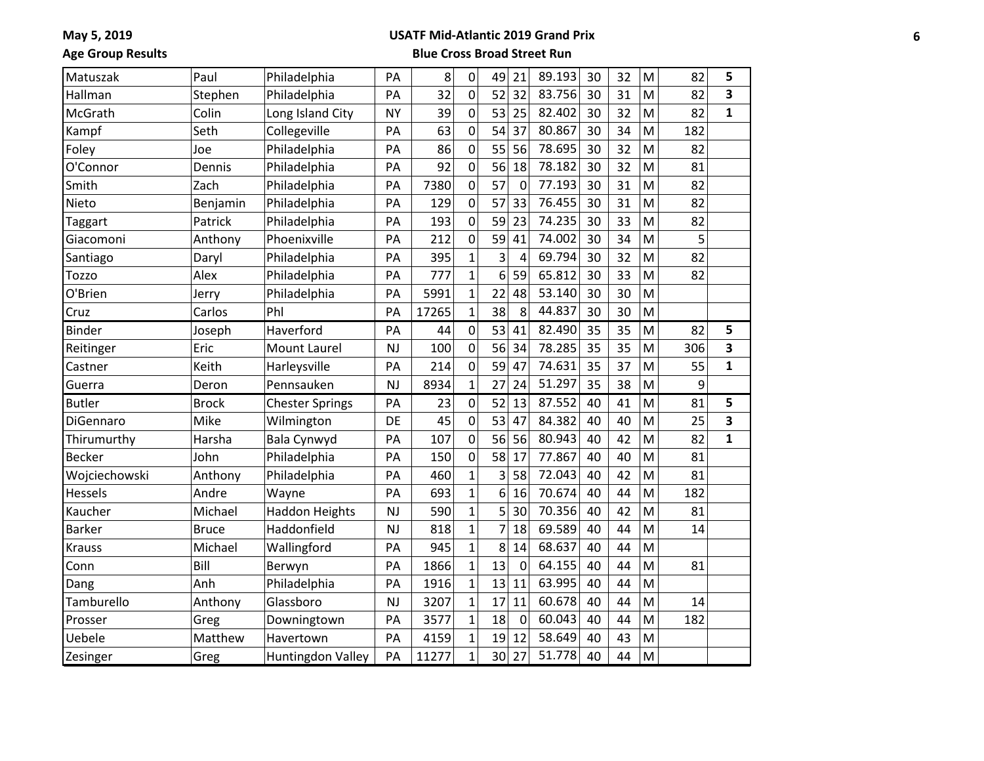### **USATF Mid-Atlantic 2019 Grand Prix**

**Age Group Results**

| Matuszak       | Paul         | Philadelphia           | PA        | 8     | 0              | 49             | 21          | 89.193 | 30 | 32 | M | 82  | 5            |
|----------------|--------------|------------------------|-----------|-------|----------------|----------------|-------------|--------|----|----|---|-----|--------------|
| Hallman        | Stephen      | Philadelphia           | PA        | 32    | 0              | 52             | 32          | 83.756 | 30 | 31 | M | 82  | 3            |
| McGrath        | Colin        | Long Island City       | <b>NY</b> | 39    | 0              | 53             | 25          | 82.402 | 30 | 32 | M | 82  | 1            |
| Kampf          | Seth         | Collegeville           | PA        | 63    | $\overline{0}$ | 54             | 37          | 80.867 | 30 | 34 | M | 182 |              |
| Foley          | Joe          | Philadelphia           | PA        | 86    | 0              | 55             | 56          | 78.695 | 30 | 32 | M | 82  |              |
| O'Connor       | Dennis       | Philadelphia           | PA        | 92    | 0              | 56             | 18          | 78.182 | 30 | 32 | M | 81  |              |
| Smith          | Zach         | Philadelphia           | PA        | 7380  | 0              | 57             | $\mathbf 0$ | 77.193 | 30 | 31 | M | 82  |              |
| Nieto          | Benjamin     | Philadelphia           | PA        | 129   | 0              | 57             | 33          | 76.455 | 30 | 31 | M | 82  |              |
| Taggart        | Patrick      | Philadelphia           | PA        | 193   | 0              | 59             | 23          | 74.235 | 30 | 33 | M | 82  |              |
| Giacomoni      | Anthony      | Phoenixville           | PA        | 212   | $\overline{0}$ | 59             | 41          | 74.002 | 30 | 34 | M | 5   |              |
| Santiago       | Daryl        | Philadelphia           | PA        | 395   | $\mathbf{1}$   | 3              | 4           | 69.794 | 30 | 32 | M | 82  |              |
| Tozzo          | Alex         | Philadelphia           | PA        | 777   | $\overline{1}$ | 6              | 59          | 65.812 | 30 | 33 | M | 82  |              |
| O'Brien        | Jerry        | Philadelphia           | PA        | 5991  | $\mathbf{1}$   | 22             | 48          | 53.140 | 30 | 30 | M |     |              |
| Cruz           | Carlos       | Phl                    | PA        | 17265 | $\overline{1}$ | 38             | 8           | 44.837 | 30 | 30 | M |     |              |
| Binder         | Joseph       | Haverford              | PA        | 44    | 0              | 53             | 41          | 82.490 | 35 | 35 | M | 82  | 5            |
| Reitinger      | Eric         | <b>Mount Laurel</b>    | NJ        | 100   | $\overline{0}$ | 56             | 34          | 78.285 | 35 | 35 | M | 306 | 3            |
| Castner        | Keith        | Harleysville           | PA        | 214   | 0              | 59             | 47          | 74.631 | 35 | 37 | M | 55  | 1            |
| Guerra         | Deron        | Pennsauken             | <b>NJ</b> | 8934  | $\overline{1}$ | 27             | 24          | 51.297 | 35 | 38 | M | 9   |              |
| <b>Butler</b>  | <b>Brock</b> | <b>Chester Springs</b> | PA        | 23    | 0              | 52             | 13          | 87.552 | 40 | 41 | M | 81  | 5            |
| DiGennaro      | Mike         | Wilmington             | DE        | 45    | 0              | 53             | 47          | 84.382 | 40 | 40 | M | 25  | 3            |
| Thirumurthy    | Harsha       | <b>Bala Cynwyd</b>     | PA        | 107   | 0              | 56             | 56          | 80.943 | 40 | 42 | M | 82  | $\mathbf{1}$ |
| <b>Becker</b>  | John         | Philadelphia           | PA        | 150   | 0              | 58             | 17          | 77.867 | 40 | 40 | M | 81  |              |
| Wojciechowski  | Anthony      | Philadelphia           | PA        | 460   | $\overline{1}$ | 3              | 58          | 72.043 | 40 | 42 | M | 81  |              |
| <b>Hessels</b> | Andre        | Wayne                  | PA        | 693   | $\mathbf{1}$   | 6              | 16          | 70.674 | 40 | 44 | M | 182 |              |
| Kaucher        | Michael      | <b>Haddon Heights</b>  | <b>NJ</b> | 590   | $\overline{1}$ | 5              | 30          | 70.356 | 40 | 42 | M | 81  |              |
| <b>Barker</b>  | <b>Bruce</b> | Haddonfield            | <b>NJ</b> | 818   | $\mathbf{1}$   | $\overline{7}$ | 18          | 69.589 | 40 | 44 | M | 14  |              |
| <b>Krauss</b>  | Michael      | Wallingford            | PA        | 945   | $\overline{1}$ | 8              | 14          | 68.637 | 40 | 44 | M |     |              |
| Conn           | Bill         | Berwyn                 | PA        | 1866  | $\mathbf{1}$   | 13             | 0           | 64.155 | 40 | 44 | M | 81  |              |
| Dang           | Anh          | Philadelphia           | PA        | 1916  | $\overline{1}$ | 13             | 11          | 63.995 | 40 | 44 | M |     |              |
| Tamburello     | Anthony      | Glassboro              | NJ        | 3207  | $\mathbf{1}$   | 17             | 11          | 60.678 | 40 | 44 | M | 14  |              |
| Prosser        | Greg         | Downingtown            | PA        | 3577  | $\overline{1}$ | 18             | $\mathbf 0$ | 60.043 | 40 | 44 | M | 182 |              |
| Uebele         | Matthew      | Havertown              | PA        | 4159  | $\overline{1}$ | 19             | 12          | 58.649 | 40 | 43 | M |     |              |
| Zesinger       | Greg         | Huntingdon Valley      | PA        | 11277 | $\overline{1}$ | 30             | 27          | 51.778 | 40 | 44 | M |     |              |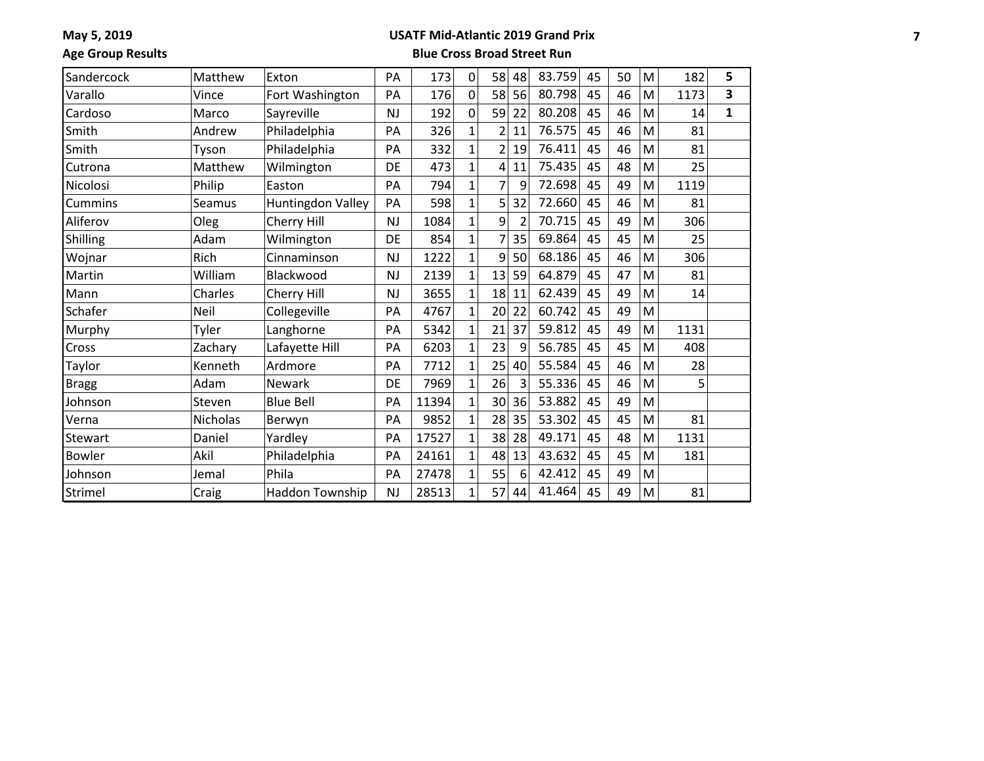#### **USATF Mid-Atlantic 2019 Grand Prix**

**Age Group Results**

| Sandercock   | Matthew  | Exton             | PA        | 173   | $\mathbf 0$  | 58             | 48 | 83.759 | 45 | 50 | M | 182  | 5            |
|--------------|----------|-------------------|-----------|-------|--------------|----------------|----|--------|----|----|---|------|--------------|
| Varallo      | Vince    | Fort Washington   | PA        | 176   | $\mathbf 0$  | 58             | 56 | 80.798 | 45 | 46 | M | 1173 | 3            |
| Cardoso      | Marco    | Sayreville        | <b>NJ</b> | 192   | $\pmb{0}$    | 59             | 22 | 80.208 | 45 | 46 | M | 14   | $\mathbf{1}$ |
| Smith        | Andrew   | Philadelphia      | PA        | 326   | $\mathbf{1}$ | $\overline{2}$ | 11 | 76.575 | 45 | 46 | M | 81   |              |
| Smith        | Tyson    | Philadelphia      | PA        | 332   | $\mathbf{1}$ | $\overline{2}$ | 19 | 76.411 | 45 | 46 | M | 81   |              |
| Cutrona      | Matthew  | Wilmington        | DE        | 473   | $\mathbf{1}$ | 4              | 11 | 75.435 | 45 | 48 | M | 25   |              |
| Nicolosi     | Philip   | Easton            | PA        | 794   | $\mathbf{1}$ | 7              | 9  | 72.698 | 45 | 49 | M | 1119 |              |
| Cummins      | Seamus   | Huntingdon Valley | PA        | 598   | $\mathbf{1}$ | 5              | 32 | 72.660 | 45 | 46 | M | 81   |              |
| Aliferov     | Oleg     | Cherry Hill       | <b>NJ</b> | 1084  | $\mathbf{1}$ | 9              | 2  | 70.715 | 45 | 49 | M | 306  |              |
| Shilling     | Adam     | Wilmington        | DE        | 854   | $\mathbf{1}$ | 7              | 35 | 69.864 | 45 | 45 | M | 25   |              |
| Wojnar       | Rich     | Cinnaminson       | <b>NJ</b> | 1222  | $\mathbf{1}$ | 9              | 50 | 68.186 | 45 | 46 | M | 306  |              |
| Martin       | William  | Blackwood         | <b>NJ</b> | 2139  | $\mathbf{1}$ | 13             | 59 | 64.879 | 45 | 47 | M | 81   |              |
| Mann         | Charles  | Cherry Hill       | <b>NJ</b> | 3655  | $\mathbf{1}$ | 18             | 11 | 62.439 | 45 | 49 | M | 14   |              |
| Schafer      | Neil     | Collegeville      | PA        | 4767  | $\mathbf{1}$ | 20             | 22 | 60.742 | 45 | 49 | M |      |              |
| Murphy       | Tyler    | Langhorne         | PA        | 5342  | $\mathbf{1}$ | 21             | 37 | 59.812 | 45 | 49 | M | 1131 |              |
| Cross        | Zachary  | Lafayette Hill    | PA        | 6203  | $\mathbf{1}$ | 23             | 9  | 56.785 | 45 | 45 | M | 408  |              |
| Taylor       | Kenneth  | Ardmore           | PA        | 7712  | $\mathbf{1}$ | 25             | 40 | 55.584 | 45 | 46 | M | 28   |              |
| <b>Bragg</b> | Adam     | Newark            | DE        | 7969  | $\mathbf{1}$ | 26             | 3  | 55.336 | 45 | 46 | M | 5    |              |
| Johnson      | Steven   | <b>Blue Bell</b>  | PA        | 11394 | $\mathbf{1}$ | 30             | 36 | 53.882 | 45 | 49 | M |      |              |
| Verna        | Nicholas | Berwyn            | PA        | 9852  | $\mathbf{1}$ | 28             | 35 | 53.302 | 45 | 45 | M | 81   |              |
| Stewart      | Daniel   | Yardley           | PA        | 17527 | $\mathbf{1}$ | 38             | 28 | 49.171 | 45 | 48 | M | 1131 |              |
| Bowler       | Akil     | Philadelphia      | PA        | 24161 | $\mathbf{1}$ | 48             | 13 | 43.632 | 45 | 45 | M | 181  |              |
| Johnson      | Jemal    | Phila             | PA        | 27478 | $\mathbf{1}$ | 55             | 6  | 42.412 | 45 | 49 | M |      |              |
| Strimel      | Craig    | Haddon Township   | <b>NJ</b> | 28513 | $\mathbf{1}$ | 57             | 44 | 41.464 | 45 | 49 | M | 81   |              |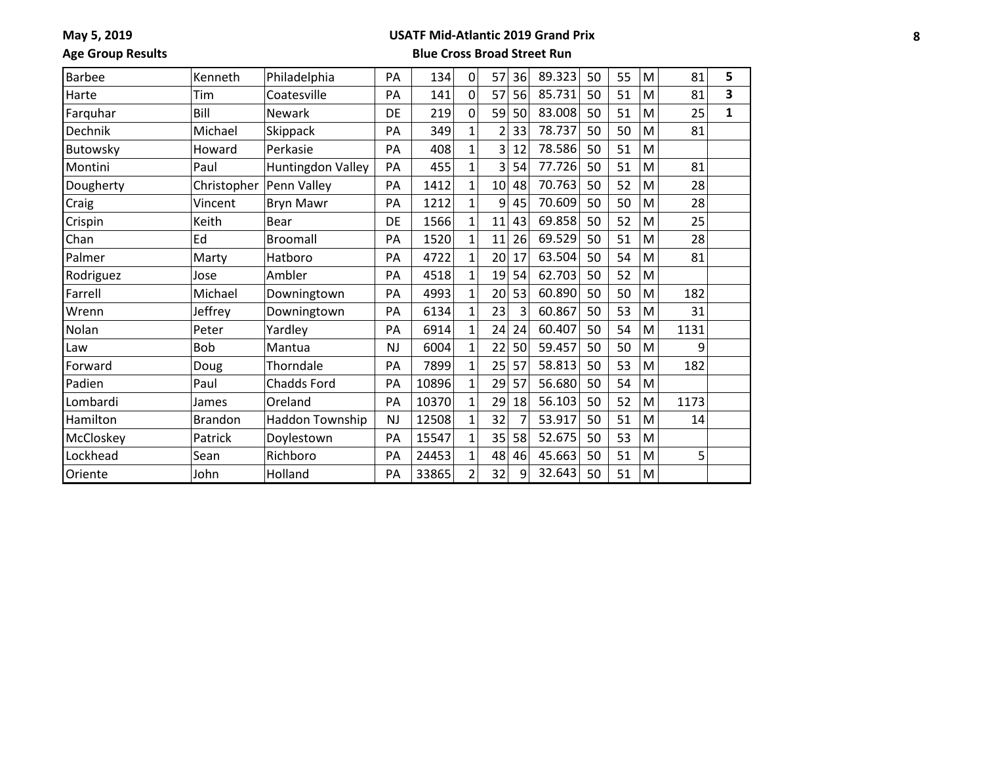## **USATF Mid-Atlantic 2019 Grand Prix**

**Age Group Results**

| <b>Barbee</b> | Kenneth        | Philadelphia              | PA        | 134   | $\mathbf 0$    | 57 | 36 | 89.323 | 50 | 55 | M | 81   | 5            |
|---------------|----------------|---------------------------|-----------|-------|----------------|----|----|--------|----|----|---|------|--------------|
| Harte         | Tim            | Coatesville               | PA        | 141   | $\mathbf 0$    | 57 | 56 | 85.731 | 50 | 51 | M | 81   | 3            |
| Farquhar      | Bill           | <b>Newark</b>             | DE        | 219   | $\mathbf 0$    | 59 | 50 | 83.008 | 50 | 51 | M | 25   | $\mathbf{1}$ |
| Dechnik       | Michael        | Skippack                  | PA        | 349   | $\mathbf{1}$   | 2  | 33 | 78.737 | 50 | 50 | M | 81   |              |
| Butowsky      | Howard         | Perkasie                  | PA        | 408   | $\mathbf{1}$   | 3  | 12 | 78.586 | 50 | 51 | M |      |              |
| Montini       | Paul           | Huntingdon Valley         | PA        | 455   | $\mathbf{1}$   | 3  | 54 | 77.726 | 50 | 51 | M | 81   |              |
| Dougherty     |                | Christopher   Penn Valley | PA        | 1412  | $\mathbf{1}$   | 10 | 48 | 70.763 | 50 | 52 | M | 28   |              |
| Craig         | Vincent        | <b>Bryn Mawr</b>          | PA        | 1212  | $\mathbf{1}$   | 9  | 45 | 70.609 | 50 | 50 | M | 28   |              |
| Crispin       | Keith          | Bear                      | DE        | 1566  | $\mathbf{1}$   | 11 | 43 | 69.858 | 50 | 52 | M | 25   |              |
| Chan          | Ed             | Broomall                  | PA        | 1520  | $\mathbf{1}$   | 11 | 26 | 69.529 | 50 | 51 | M | 28   |              |
| Palmer        | Marty          | Hatboro                   | PA        | 4722  | 1              | 20 | 17 | 63.504 | 50 | 54 | M | 81   |              |
| Rodriguez     | Jose           | Ambler                    | PA        | 4518  | $\mathbf{1}$   | 19 | 54 | 62.703 | 50 | 52 | M |      |              |
| Farrell       | Michael        | Downingtown               | PA        | 4993  | $\mathbf{1}$   | 20 | 53 | 60.890 | 50 | 50 | M | 182  |              |
| Wrenn         | Jeffrey        | Downingtown               | PA        | 6134  | $\mathbf{1}$   | 23 | 3  | 60.867 | 50 | 53 | M | 31   |              |
| Nolan         | Peter          | Yardley                   | PA        | 6914  | $\mathbf{1}$   | 24 | 24 | 60.407 | 50 | 54 | M | 1131 |              |
| Law           | Bob            | Mantua                    | <b>NJ</b> | 6004  | $\mathbf{1}$   | 22 | 50 | 59.457 | 50 | 50 | M | 9    |              |
| Forward       | Doug           | Thorndale                 | PA        | 7899  | $\mathbf{1}$   | 25 | 57 | 58.813 | 50 | 53 | M | 182  |              |
| Padien        | Paul           | Chadds Ford               | PA        | 10896 | $\mathbf{1}$   | 29 | 57 | 56.680 | 50 | 54 | M |      |              |
| Lombardi      | James          | Oreland                   | PA        | 10370 | $\mathbf{1}$   | 29 | 18 | 56.103 | 50 | 52 | M | 1173 |              |
| Hamilton      | <b>Brandon</b> | Haddon Township           | <b>NJ</b> | 12508 | $\mathbf{1}$   | 32 |    | 53.917 | 50 | 51 | M | 14   |              |
| McCloskey     | Patrick        | Doylestown                | PA        | 15547 | $\mathbf{1}$   | 35 | 58 | 52.675 | 50 | 53 | M |      |              |
| Lockhead      | Sean           | Richboro                  | PA        | 24453 | $\mathbf{1}$   | 48 | 46 | 45.663 | 50 | 51 | M | 5    |              |
| Oriente       | John           | Holland                   | PA        | 33865 | $\overline{2}$ | 32 | 9  | 32.643 | 50 | 51 | M |      |              |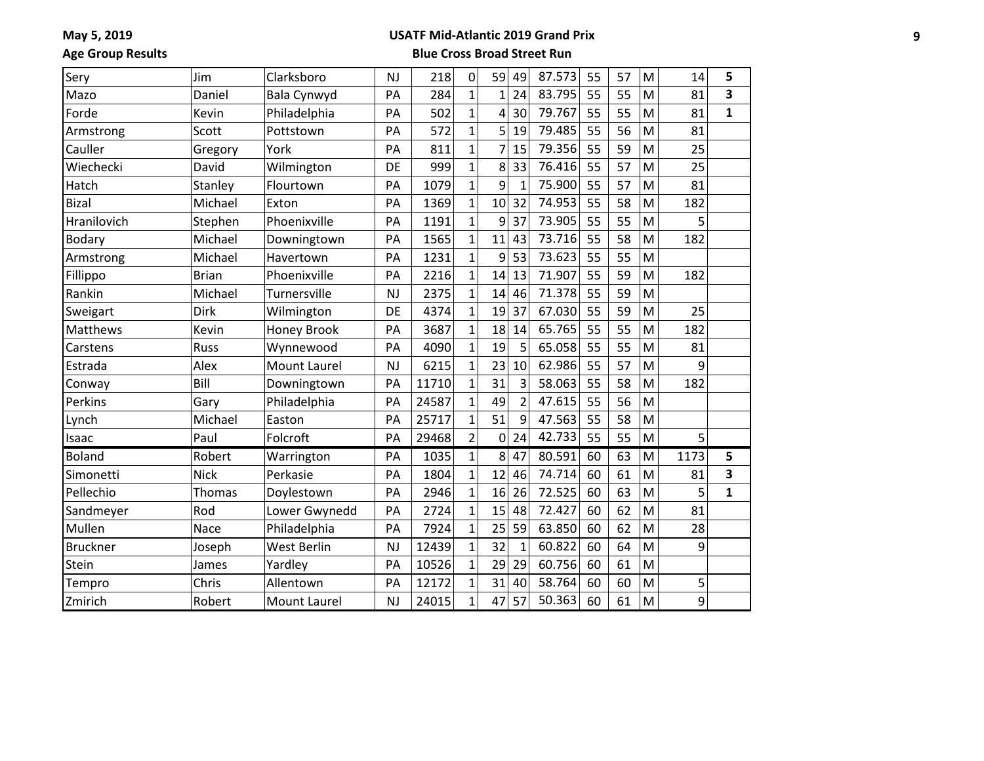### **USATF Mid-Atlantic 2019 Grand Prix**

**Age Group Results**

| Sery            | Jim          | Clarksboro          | <b>NJ</b> | 218   | 0              | 59             | 49             | 87.573 | 55 | 57 | M | 14   | 5            |
|-----------------|--------------|---------------------|-----------|-------|----------------|----------------|----------------|--------|----|----|---|------|--------------|
| Mazo            | Daniel       | Bala Cynwyd         | PA        | 284   | $\mathbf{1}$   | $\overline{1}$ | 24             | 83.795 | 55 | 55 | M | 81   | 3            |
| Forde           | Kevin        | Philadelphia        | PA        | 502   | $\mathbf{1}$   | 4              | 30             | 79.767 | 55 | 55 | M | 81   | $\mathbf{1}$ |
| Armstrong       | Scott        | Pottstown           | PA        | 572   | $\mathbf{1}$   | 5              | 19             | 79.485 | 55 | 56 | M | 81   |              |
| Cauller         | Gregory      | York                | PA        | 811   | $\mathbf{1}$   | $\overline{7}$ | 15             | 79.356 | 55 | 59 | M | 25   |              |
| Wiechecki       | David        | Wilmington          | DE        | 999   | $\mathbf{1}$   | 8              | 33             | 76.416 | 55 | 57 | M | 25   |              |
| Hatch           | Stanley      | Flourtown           | PA        | 1079  | $\mathbf{1}$   | 9              | 1              | 75.900 | 55 | 57 | M | 81   |              |
| <b>Bizal</b>    | Michael      | Exton               | PA        | 1369  | $\mathbf{1}$   | 10             | 32             | 74.953 | 55 | 58 | M | 182  |              |
| Hranilovich     | Stephen      | Phoenixville        | PA        | 1191  | $\overline{1}$ | 9              | 37             | 73.905 | 55 | 55 | M | 5    |              |
| Bodary          | Michael      | Downingtown         | PA        | 1565  | $\overline{1}$ | 11             | 43             | 73.716 | 55 | 58 | M | 182  |              |
| Armstrong       | Michael      | Havertown           | PA        | 1231  | $\mathbf{1}$   | 9              | 53             | 73.623 | 55 | 55 | M |      |              |
| Fillippo        | <b>Brian</b> | Phoenixville        | PA        | 2216  | $\overline{1}$ | 14             | 13             | 71.907 | 55 | 59 | M | 182  |              |
| Rankin          | Michael      | Turnersville        | <b>NJ</b> | 2375  | $\overline{1}$ | 14             | 46             | 71.378 | 55 | 59 | M |      |              |
| Sweigart        | Dirk         | Wilmington          | DE        | 4374  | $\mathbf{1}$   | 19             | 37             | 67.030 | 55 | 59 | M | 25   |              |
| Matthews        | Kevin        | <b>Honey Brook</b>  | PA        | 3687  | $\mathbf{1}$   | 18             | 14             | 65.765 | 55 | 55 | M | 182  |              |
| Carstens        | <b>Russ</b>  | Wynnewood           | PA        | 4090  | $\mathbf{1}$   | 19             | 5              | 65.058 | 55 | 55 | M | 81   |              |
| Estrada         | Alex         | <b>Mount Laurel</b> | <b>NJ</b> | 6215  | $\mathbf{1}$   | 23             | 10             | 62.986 | 55 | 57 | M | 9    |              |
| Conway          | Bill         | Downingtown         | PA        | 11710 | $\mathbf{1}$   | 31             | 3              | 58.063 | 55 | 58 | M | 182  |              |
| Perkins         | Gary         | Philadelphia        | PA        | 24587 | $\mathbf{1}$   | 49             | $\overline{2}$ | 47.615 | 55 | 56 | M |      |              |
| Lynch           | Michael      | Easton              | PA        | 25717 | $\mathbf{1}$   | 51             | 9              | 47.563 | 55 | 58 | M |      |              |
| Isaac           | Paul         | Folcroft            | PA        | 29468 | $\overline{2}$ | $\mathbf 0$    | 24             | 42.733 | 55 | 55 | M | 5    |              |
| <b>Boland</b>   | Robert       | Warrington          | PA        | 1035  | $\mathbf{1}$   | 8              | 47             | 80.591 | 60 | 63 | M | 1173 | 5            |
| Simonetti       | <b>Nick</b>  | Perkasie            | PA        | 1804  | $\mathbf{1}$   | 12             | 46             | 74.714 | 60 | 61 | M | 81   | 3            |
| Pellechio       | Thomas       | Doylestown          | PA        | 2946  | $\mathbf{1}$   | 16             | 26             | 72.525 | 60 | 63 | M | 5    | $\mathbf{1}$ |
| Sandmeyer       | Rod          | Lower Gwynedd       | PA        | 2724  | $\mathbf 1$    | 15             | 48             | 72.427 | 60 | 62 | M | 81   |              |
| Mullen          | Nace         | Philadelphia        | PA        | 7924  | $\mathbf{1}$   | 25             | 59             | 63.850 | 60 | 62 | M | 28   |              |
| <b>Bruckner</b> | Joseph       | <b>West Berlin</b>  | <b>NJ</b> | 12439 | $\mathbf 1$    | 32             | $\mathbf 1$    | 60.822 | 60 | 64 | M | 9    |              |
| Stein           | James        | Yardley             | PA        | 10526 | $\mathbf{1}$   | 29             | 29             | 60.756 | 60 | 61 | M |      |              |
| Tempro          | Chris        | Allentown           | PA        | 12172 | $\mathbf 1$    | 31             | 40             | 58.764 | 60 | 60 | M | 5    |              |
| Zmirich         | Robert       | <b>Mount Laurel</b> | <b>NJ</b> | 24015 | $\mathbf{1}$   | 47             | 57             | 50.363 | 60 | 61 | M | 9    |              |